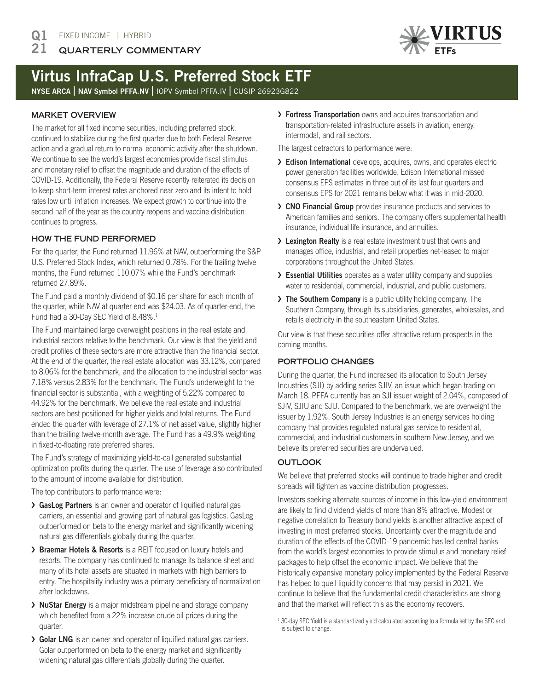#### **QUARTERLY COMMENTARY** 21



# Virtus InfraCap U.S. Preferred Stock ETF

NYSE ARCA | NAV Symbol PFFA.NV | IOPV Symbol PFFA.IV | CUSIP 26923G822

## **MARKET OVERVIEW**

The market for all fixed income securities, including preferred stock, continued to stabilize during the first quarter due to both Federal Reserve action and a gradual return to normal economic activity after the shutdown. We continue to see the world's largest economies provide fiscal stimulus and monetary relief to offset the magnitude and duration of the effects of COVID-19. Additionally, the Federal Reserve recently reiterated its decision to keep short-term interest rates anchored near zero and its intent to hold rates low until inflation increases. We expect growth to continue into the second half of the year as the country reopens and vaccine distribution continues to progress.

## **HOW THE FUND PERFORMED**

For the quarter, the Fund returned 11.96% at NAV, outperforming the S&P U.S. Preferred Stock Index, which returned 0.78%. For the trailing twelve months, the Fund returned 110.07% while the Fund's benchmark returned 27.89%.

The Fund paid a monthly dividend of \$0.16 per share for each month of the quarter, while NAV at quarter-end was \$24.03. As of quarter-end, the Fund had a 30-Day SEC Yield of 8.48%.<sup>1</sup>

The Fund maintained large overweight positions in the real estate and industrial sectors relative to the benchmark. Our view is that the yield and credit profiles of these sectors are more attractive than the financial sector. At the end of the quarter, the real estate allocation was 33.12%, compared to 8.06% for the benchmark, and the allocation to the industrial sector was 7.18% versus 2.83% for the benchmark. The Fund's underweight to the financial sector is substantial, with a weighting of 5.22% compared to 44.92% for the benchmark. We believe the real estate and industrial sectors are best positioned for higher yields and total returns. The Fund ended the quarter with leverage of 27.1% of net asset value, slightly higher than the trailing twelve-month average. The Fund has a 49.9% weighting in fixed-to-floating rate preferred shares.

The Fund's strategy of maximizing yield-to-call generated substantial optimization profits during the quarter. The use of leverage also contributed to the amount of income available for distribution.

The top contributors to performance were:

- > GasLog Partners is an owner and operator of liquified natural gas carriers, an essential and growing part of natural gas logistics. GasLog outperformed on beta to the energy market and significantly widening natural gas differentials globally during the quarter.
- › Braemar Hotels & Resorts is a REIT focused on luxury hotels and resorts. The company has continued to manage its balance sheet and many of its hotel assets are situated in markets with high barriers to entry. The hospitality industry was a primary beneficiary of normalization after lockdowns.
- › NuStar Energy is a major midstream pipeline and storage company which benefited from a 22% increase crude oil prices during the quarter.
- › Golar LNG is an owner and operator of liquified natural gas carriers. Golar outperformed on beta to the energy market and significantly widening natural gas differentials globally during the quarter.

> Fortress Transportation owns and acquires transportation and transportation-related infrastructure assets in aviation, energy, intermodal, and rail sectors.

The largest detractors to performance were:

- > Edison International develops, acquires, owns, and operates electric power generation facilities worldwide. Edison International missed consensus EPS estimates in three out of its last four quarters and consensus EPS for 2021 remains below what it was in mid-2020.
- › CNO Financial Group provides insurance products and services to American families and seniors. The company offers supplemental health insurance, individual life insurance, and annuities.
- > Lexington Realty is a real estate investment trust that owns and manages office, industrial, and retail properties net-leased to major corporations throughout the United States.
- > Essential Utilities operates as a water utility company and supplies water to residential, commercial, industrial, and public customers.
- > The Southern Company is a public utility holding company. The Southern Company, through its subsidiaries, generates, wholesales, and retails electricity in the southeastern United States.

Our view is that these securities offer attractive return prospects in the coming months.

## **PORTFOLIO CHANGES**

During the quarter, the Fund increased its allocation to South Jersey Industries (SJI) by adding series SJIV, an issue which began trading on March 18. PFFA currently has an SJI issuer weight of 2.04%, composed of SJIV, SJIU and SJIJ. Compared to the benchmark, we are overweight the issuer by 1.92%. South Jersey Industries is an energy services holding company that provides regulated natural gas service to residential, commercial, and industrial customers in southern New Jersey, and we believe its preferred securities are undervalued.

# **OUTLOOK**

We believe that preferred stocks will continue to trade higher and credit spreads will tighten as vaccine distribution progresses.

Investors seeking alternate sources of income in this low-yield environment are likely to find dividend yields of more than 8% attractive. Modest or negative correlation to Treasury bond yields is another attractive aspect of investing in most preferred stocks. Uncertainty over the magnitude and duration of the effects of the COVID-19 pandemic has led central banks from the world's largest economies to provide stimulus and monetary relief packages to help offset the economic impact. We believe that the historically expansive monetary policy implemented by the Federal Reserve has helped to quell liquidity concerns that may persist in 2021. We continue to believe that the fundamental credit characteristics are strong and that the market will reflect this as the economy recovers.

<sup>&</sup>lt;sup>1</sup> 30-day SEC Yield is a standardized yield calculated according to a formula set by the SEC and is subject to change.